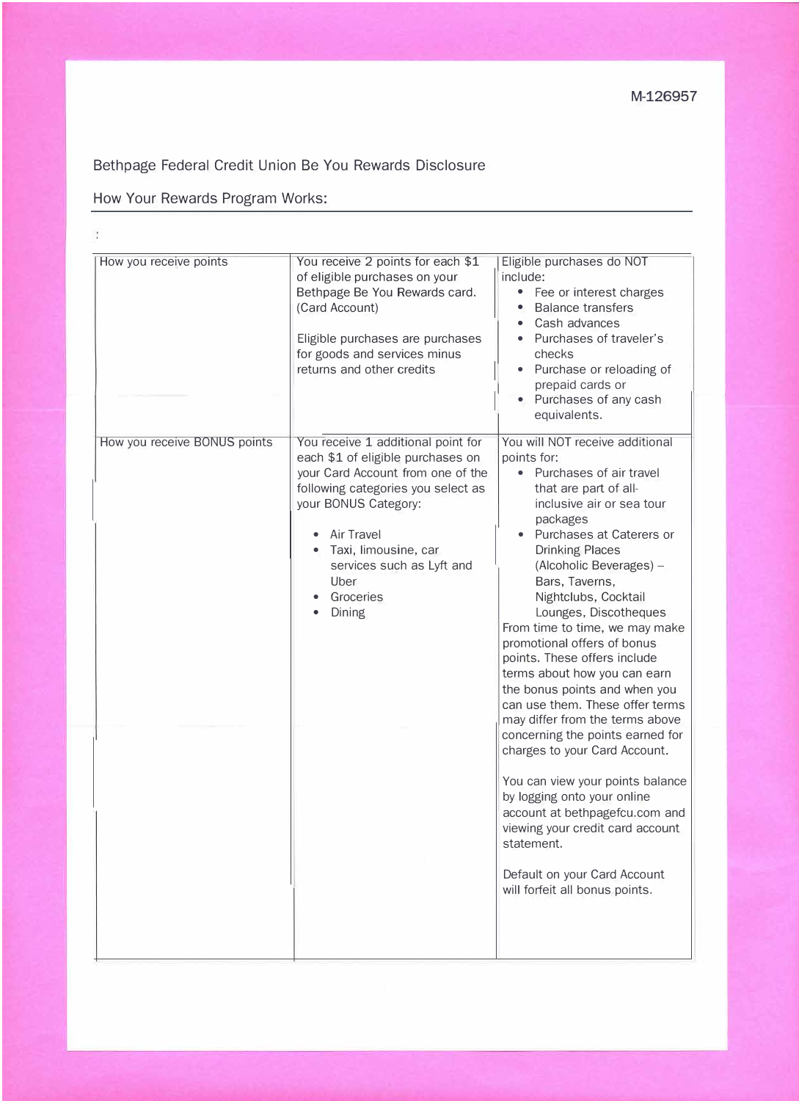## Bethpage Federal Credit Union Be You Rewards Disclosure

## How Your Rewards Program Works:

 $\ddot{\cdot}$ 

| How you receive points       | You receive 2 points for each \$1<br>of eligible purchases on your<br>Bethpage Be You Rewards card.<br>(Card Account)<br>Eligible purchases are purchases<br>for goods and services minus<br>returns and other credits                                                       | Eligible purchases do NOT<br>include:<br>Fee or interest charges<br><b>Balance transfers</b><br>Cash advances<br>Purchases of traveler's<br>checks<br>Purchase or reloading of<br>prepaid cards or<br>• Purchases of any cash<br>equivalents.                                                                                                                                                                                                                                                                                                                                                                                                                                                                                                                                                                                           |
|------------------------------|------------------------------------------------------------------------------------------------------------------------------------------------------------------------------------------------------------------------------------------------------------------------------|-----------------------------------------------------------------------------------------------------------------------------------------------------------------------------------------------------------------------------------------------------------------------------------------------------------------------------------------------------------------------------------------------------------------------------------------------------------------------------------------------------------------------------------------------------------------------------------------------------------------------------------------------------------------------------------------------------------------------------------------------------------------------------------------------------------------------------------------|
| How you receive BONUS points | You receive 1 additional point for<br>each \$1 of eligible purchases on<br>your Card Account from one of the<br>following categories you select as<br>your BONUS Category:<br>Air Travel<br>Taxi, limousine, car<br>services such as Lyft and<br>Uber<br>Groceries<br>Dining | You will NOT receive additional<br>points for:<br>• Purchases of air travel<br>that are part of all-<br>inclusive air or sea tour<br>packages<br>Purchases at Caterers or<br><b>Drinking Places</b><br>(Alcoholic Beverages) -<br>Bars, Taverns,<br>Nightclubs, Cocktail<br>Lounges, Discotheques<br>From time to time, we may make<br>promotional offers of bonus<br>points. These offers include<br>terms about how you can earn<br>the bonus points and when you<br>can use them. These offer terms<br>may differ from the terms above<br>concerning the points earned for<br>charges to your Card Account.<br>You can view your points balance<br>by logging onto your online<br>account at bethpagefcu.com and<br>viewing your credit card account<br>statement.<br>Default on your Card Account<br>will forfeit all bonus points. |
|                              |                                                                                                                                                                                                                                                                              |                                                                                                                                                                                                                                                                                                                                                                                                                                                                                                                                                                                                                                                                                                                                                                                                                                         |